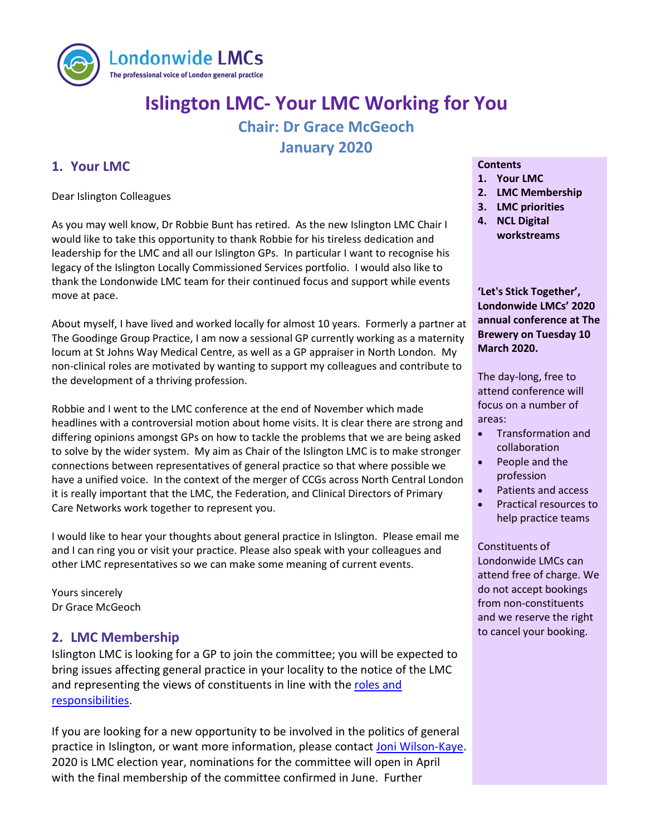

# **Islington LMC- Your LMC Working for You Chair: Dr Grace McGeoch January 2020**

## **1. Your LMC**

Dear Islington Colleagues

As you may well know, Dr Robbie Bunt has retired. As the new Islington LMC Chair I would like to take this opportunity to thank Robbie for his tireless dedication and leadership for the LMC and all our Islington GPs. In particular I want to recognise his legacy of the Islington Locally Commissioned Services portfolio. I would also like to thank the Londonwide LMC team for their continued focus and support while events move at pace.

About myself, I have lived and worked locally for almost 10 years. Formerly a partner at The Goodinge Group Practice, I am now a sessional GP currently working as a maternity locum at St Johns Way Medical Centre, as well as a GP appraiser in North London. My non-clinical roles are motivated by wanting to support my colleagues and contribute to the development of a thriving profession.

Robbie and I went to the LMC conference at the end of November which made headlines with a controversial motion about home visits. It is clear there are strong and differing opinions amongst GPs on how to tackle the problems that we are being asked to solve by the wider system. My aim as Chair of the Islington LMC is to make stronger connections between representatives of general practice so that where possible we have a unified voice. In the context of the merger of CCGs across North Central London it is really important that the LMC, the Federation, and Clinical Directors of Primary Care Networks work together to represent you.

I would like to hear your thoughts about general practice in Islington. Please email me and I can ring you or visit your practice. Please also speak with your colleagues and other LMC representatives so we can make some meaning of current events.

Yours sincerely Dr Grace McGeoch

## to cancel your booking. **2. LMC Membership**

Islington LMC is looking for a GP to join the committee; you will be expected to bring issues affecting general practice in your locality to the notice of the LMC and representing the views of constituents in line with the roles and [responsibilities.](https://www.lmc.org.uk/visageimages/files/Londonwide/2020/RRLMCMembers1820.pdf)

If you are looking for a new opportunity to be involved in the politics of general practice in Islington, or want more information, please contac[t Joni Wilson-Kaye.](mailto:joni.wilson-kaye@lmc.org.uk) 2020 is LMC election year, nominations for the committee will open in April with the final membership of the committee confirmed in June. Further

#### **Contents**

- **1. Your LMC**
- **2. LMC Membership**
- **3. LMC priorities**
- **4. NCL Digital workstreams**

**'Let's Stick Together', Londonwide LMCs' 2020 annual conference at The Brewery on Tuesday 10 March 2020.**

The day-long, free to attend conference will focus on a number of areas:

- Transformation and collaboration
- People and the profession
- Patients and access
- Practical resources to help practice teams

Constituents of Londonwide LMCs can attend free of charge. We do not accept bookings from non-constituents and we reserve the right